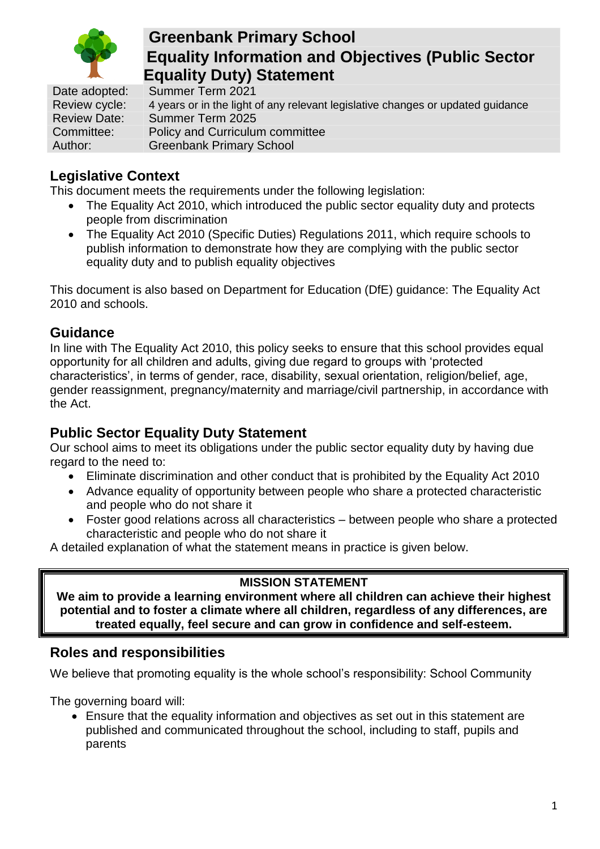

# **Greenbank Primary School Equality Information and Objectives (Public Sector Equality Duty) Statement**

Date adopted: Summer Term 2021 Review cycle: 4 years or in the light of any relevant legislative changes or updated guidance<br>Review Date: Summer Term 2025 Summer Term 2025 Committee: Policy and Curriculum committee Author: Greenbank Primary School

## **Legislative Context**

This document meets the requirements under the following legislation:

- The Equality Act 2010, which introduced the public sector equality duty and protects people from discrimination
- The Equality Act 2010 (Specific Duties) Regulations 2011, which require schools to publish information to demonstrate how they are complying with the public sector equality duty and to publish equality objectives

This document is also based on Department for Education (DfE) guidance: The Equality Act 2010 and schools.

### **Guidance**

In line with The Equality Act 2010, this policy seeks to ensure that this school provides equal opportunity for all children and adults, giving due regard to groups with 'protected characteristics', in terms of gender, race, disability, sexual orientation, religion/belief, age, gender reassignment, pregnancy/maternity and marriage/civil partnership, in accordance with the Act.

## **Public Sector Equality Duty Statement**

Our school aims to meet its obligations under the public sector equality duty by having due regard to the need to:

- Eliminate discrimination and other conduct that is prohibited by the Equality Act 2010
- Advance equality of opportunity between people who share a protected characteristic and people who do not share it
- Foster good relations across all characteristics between people who share a protected characteristic and people who do not share it

A detailed explanation of what the statement means in practice is given below.

### **MISSION STATEMENT**

**We aim to provide a learning environment where all children can achieve their highest potential and to foster a climate where all children, regardless of any differences, are treated equally, feel secure and can grow in confidence and self-esteem.**

#### **Roles and responsibilities**

We believe that promoting equality is the whole school's responsibility: School Community

The governing board will:

• Ensure that the equality information and objectives as set out in this statement are published and communicated throughout the school, including to staff, pupils and parents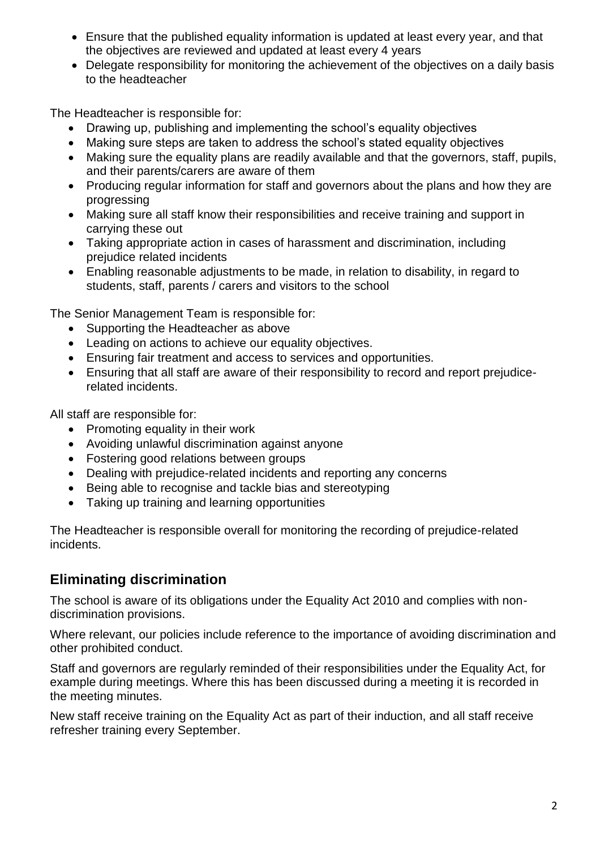- Ensure that the published equality information is updated at least every year, and that the objectives are reviewed and updated at least every 4 years
- Delegate responsibility for monitoring the achievement of the objectives on a daily basis to the headteacher

The Headteacher is responsible for:

- Drawing up, publishing and implementing the school's equality objectives
- Making sure steps are taken to address the school's stated equality objectives
- Making sure the equality plans are readily available and that the governors, staff, pupils, and their parents/carers are aware of them
- Producing regular information for staff and governors about the plans and how they are progressing
- Making sure all staff know their responsibilities and receive training and support in carrying these out
- Taking appropriate action in cases of harassment and discrimination, including prejudice related incidents
- Enabling reasonable adjustments to be made, in relation to disability, in regard to students, staff, parents / carers and visitors to the school

The Senior Management Team is responsible for:

- Supporting the Headteacher as above
- Leading on actions to achieve our equality objectives.
- Ensuring fair treatment and access to services and opportunities.
- Ensuring that all staff are aware of their responsibility to record and report prejudicerelated incidents.

All staff are responsible for:

- Promoting equality in their work
- Avoiding unlawful discrimination against anyone
- Fostering good relations between groups
- Dealing with prejudice-related incidents and reporting any concerns
- Being able to recognise and tackle bias and stereotyping
- Taking up training and learning opportunities

The Headteacher is responsible overall for monitoring the recording of prejudice-related incidents.

### **Eliminating discrimination**

The school is aware of its obligations under the Equality Act 2010 and complies with nondiscrimination provisions.

Where relevant, our policies include reference to the importance of avoiding discrimination and other prohibited conduct.

Staff and governors are regularly reminded of their responsibilities under the Equality Act, for example during meetings. Where this has been discussed during a meeting it is recorded in the meeting minutes.

New staff receive training on the Equality Act as part of their induction, and all staff receive refresher training every September.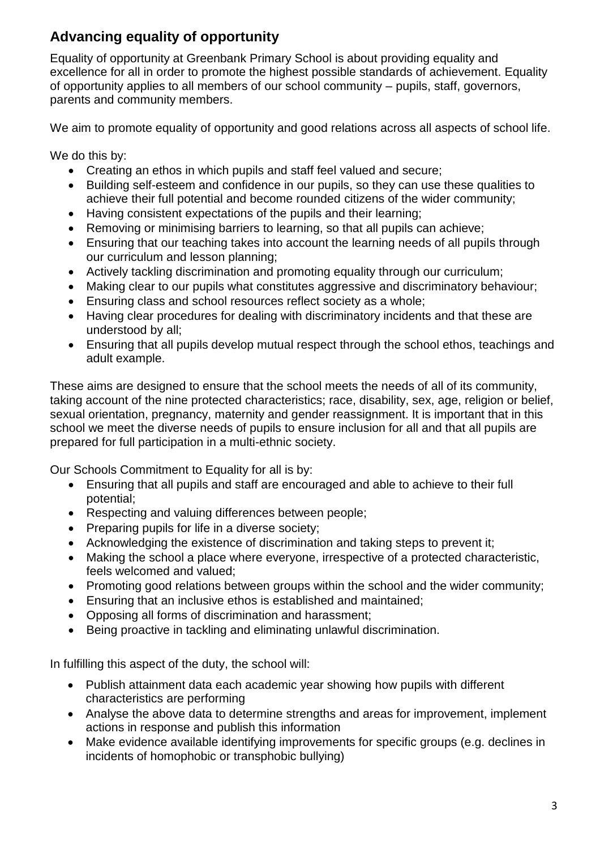## **Advancing equality of opportunity**

Equality of opportunity at Greenbank Primary School is about providing equality and excellence for all in order to promote the highest possible standards of achievement. Equality of opportunity applies to all members of our school community – pupils, staff, governors, parents and community members.

We aim to promote equality of opportunity and good relations across all aspects of school life.

We do this by:

- Creating an ethos in which pupils and staff feel valued and secure;
- Building self-esteem and confidence in our pupils, so they can use these qualities to achieve their full potential and become rounded citizens of the wider community;
- Having consistent expectations of the pupils and their learning;
- Removing or minimising barriers to learning, so that all pupils can achieve;
- Ensuring that our teaching takes into account the learning needs of all pupils through our curriculum and lesson planning;
- Actively tackling discrimination and promoting equality through our curriculum;
- Making clear to our pupils what constitutes aggressive and discriminatory behaviour;
- Ensuring class and school resources reflect society as a whole;
- Having clear procedures for dealing with discriminatory incidents and that these are understood by all;
- Ensuring that all pupils develop mutual respect through the school ethos, teachings and adult example.

These aims are designed to ensure that the school meets the needs of all of its community, taking account of the nine protected characteristics; race, disability, sex, age, religion or belief, sexual orientation, pregnancy, maternity and gender reassignment. It is important that in this school we meet the diverse needs of pupils to ensure inclusion for all and that all pupils are prepared for full participation in a multi-ethnic society.

Our Schools Commitment to Equality for all is by:

- Ensuring that all pupils and staff are encouraged and able to achieve to their full potential;
- Respecting and valuing differences between people;
- Preparing pupils for life in a diverse society;
- Acknowledging the existence of discrimination and taking steps to prevent it;
- Making the school a place where everyone, irrespective of a protected characteristic, feels welcomed and valued;
- Promoting good relations between groups within the school and the wider community;
- Ensuring that an inclusive ethos is established and maintained;
- Opposing all forms of discrimination and harassment;
- Being proactive in tackling and eliminating unlawful discrimination.

In fulfilling this aspect of the duty, the school will:

- Publish attainment data each academic year showing how pupils with different characteristics are performing
- Analyse the above data to determine strengths and areas for improvement, implement actions in response and publish this information
- Make evidence available identifying improvements for specific groups (e.g. declines in incidents of homophobic or transphobic bullying)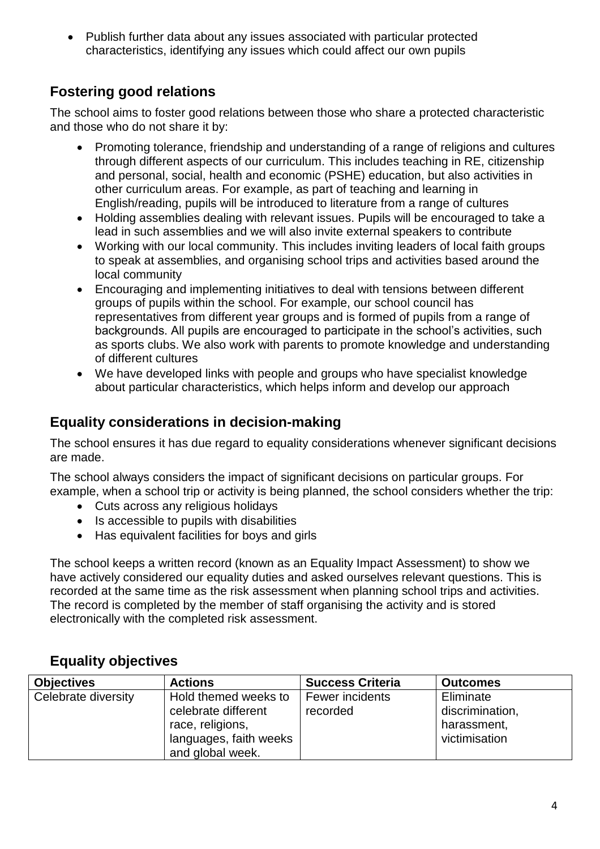• Publish further data about any issues associated with particular protected characteristics, identifying any issues which could affect our own pupils

## **Fostering good relations**

The school aims to foster good relations between those who share a protected characteristic and those who do not share it by:

- Promoting tolerance, friendship and understanding of a range of religions and cultures through different aspects of our curriculum. This includes teaching in RE, citizenship and personal, social, health and economic (PSHE) education, but also activities in other curriculum areas. For example, as part of teaching and learning in English/reading, pupils will be introduced to literature from a range of cultures
- Holding assemblies dealing with relevant issues. Pupils will be encouraged to take a lead in such assemblies and we will also invite external speakers to contribute
- Working with our local community. This includes inviting leaders of local faith groups to speak at assemblies, and organising school trips and activities based around the local community
- Encouraging and implementing initiatives to deal with tensions between different groups of pupils within the school. For example, our school council has representatives from different year groups and is formed of pupils from a range of backgrounds. All pupils are encouraged to participate in the school's activities, such as sports clubs. We also work with parents to promote knowledge and understanding of different cultures
- We have developed links with people and groups who have specialist knowledge about particular characteristics, which helps inform and develop our approach

### **Equality considerations in decision-making**

The school ensures it has due regard to equality considerations whenever significant decisions are made.

The school always considers the impact of significant decisions on particular groups. For example, when a school trip or activity is being planned, the school considers whether the trip:

- Cuts across any religious holidays
- Is accessible to pupils with disabilities
- Has equivalent facilities for boys and girls

The school keeps a written record (known as an Equality Impact Assessment) to show we have actively considered our equality duties and asked ourselves relevant questions. This is recorded at the same time as the risk assessment when planning school trips and activities. The record is completed by the member of staff organising the activity and is stored electronically with the completed risk assessment.

### **Equality objectives**

| <b>Objectives</b>   | <b>Actions</b>         | <b>Success Criteria</b> | <b>Outcomes</b> |
|---------------------|------------------------|-------------------------|-----------------|
| Celebrate diversity | Hold themed weeks to   | Fewer incidents         | Eliminate       |
|                     | celebrate different    | recorded                | discrimination, |
|                     | race, religions,       |                         | harassment,     |
|                     | languages, faith weeks |                         | victimisation   |
|                     | and global week.       |                         |                 |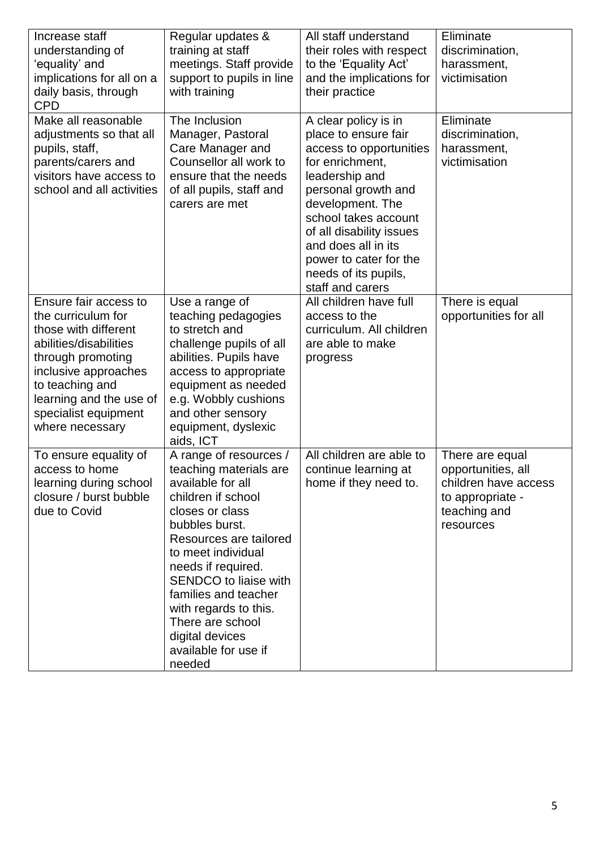| Increase staff<br>understanding of<br>ʻequality' and<br>implications for all on a<br>daily basis, through<br><b>CPD</b>                                                                                                             | Regular updates &<br>training at staff<br>meetings. Staff provide<br>support to pupils in line<br>with training                                                                                                                                                                                                                                           | All staff understand<br>their roles with respect<br>to the 'Equality Act'<br>and the implications for<br>their practice                                                                                                                                                                                  | Eliminate<br>discrimination,<br>harassment,<br>victimisation                                                   |
|-------------------------------------------------------------------------------------------------------------------------------------------------------------------------------------------------------------------------------------|-----------------------------------------------------------------------------------------------------------------------------------------------------------------------------------------------------------------------------------------------------------------------------------------------------------------------------------------------------------|----------------------------------------------------------------------------------------------------------------------------------------------------------------------------------------------------------------------------------------------------------------------------------------------------------|----------------------------------------------------------------------------------------------------------------|
| Make all reasonable<br>adjustments so that all<br>pupils, staff,<br>parents/carers and<br>visitors have access to<br>school and all activities                                                                                      | The Inclusion<br>Manager, Pastoral<br>Care Manager and<br>Counsellor all work to<br>ensure that the needs<br>of all pupils, staff and<br>carers are met                                                                                                                                                                                                   | A clear policy is in<br>place to ensure fair<br>access to opportunities<br>for enrichment.<br>leadership and<br>personal growth and<br>development. The<br>school takes account<br>of all disability issues<br>and does all in its<br>power to cater for the<br>needs of its pupils,<br>staff and carers | Eliminate<br>discrimination,<br>harassment,<br>victimisation                                                   |
| Ensure fair access to<br>the curriculum for<br>those with different<br>abilities/disabilities<br>through promoting<br>inclusive approaches<br>to teaching and<br>learning and the use of<br>specialist equipment<br>where necessary | Use a range of<br>teaching pedagogies<br>to stretch and<br>challenge pupils of all<br>abilities. Pupils have<br>access to appropriate<br>equipment as needed<br>e.g. Wobbly cushions<br>and other sensory<br>equipment, dyslexic<br>aids, ICT                                                                                                             | All children have full<br>access to the<br>curriculum. All children<br>are able to make<br>progress                                                                                                                                                                                                      | There is equal<br>opportunities for all                                                                        |
| To ensure equality of<br>access to home<br>learning during school<br>closure / burst bubble<br>due to Covid                                                                                                                         | A range of resources /<br>teaching materials are<br>available for all<br>children if school<br>closes or class<br>bubbles burst.<br>Resources are tailored<br>to meet individual<br>needs if required.<br>SENDCO to liaise with<br>families and teacher<br>with regards to this.<br>There are school<br>digital devices<br>available for use if<br>needed | All children are able to<br>continue learning at<br>home if they need to.                                                                                                                                                                                                                                | There are equal<br>opportunities, all<br>children have access<br>to appropriate -<br>teaching and<br>resources |